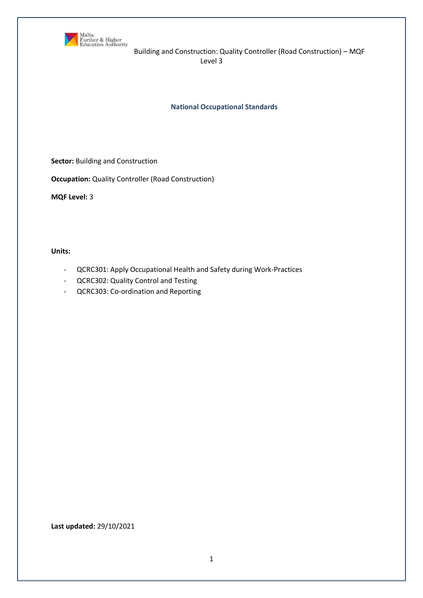

**National Occupational Standards**

**Sector:** Building and Construction

**Occupation:** Quality Controller (Road Construction)

**MQF Level:** 3

**Units:** 

- QCRC301: Apply Occupational Health and Safety during Work-Practices
- QCRC302: Quality Control and Testing
- QCRC303: Co-ordination and Reporting

**Last updated:** 29/10/2021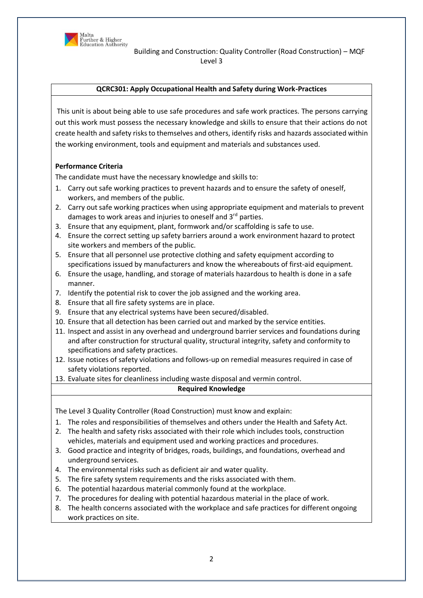

#### **QCRC301: Apply Occupational Health and Safety during Work-Practices**

This unit is about being able to use safe procedures and safe work practices. The persons carrying out this work must possess the necessary knowledge and skills to ensure that their actions do not create health and safety risks to themselves and others, identify risks and hazards associated within the working environment, tools and equipment and materials and substances used.

#### **Performance Criteria**

The candidate must have the necessary knowledge and skills to:

- 1. Carry out safe working practices to prevent hazards and to ensure the safety of oneself, workers, and members of the public.
- 2. Carry out safe working practices when using appropriate equipment and materials to prevent damages to work areas and injuries to oneself and 3<sup>rd</sup> parties.
- 3. Ensure that any equipment, plant, formwork and/or scaffolding is safe to use.
- 4. Ensure the correct setting up safety barriers around a work environment hazard to protect site workers and members of the public.
- 5. Ensure that all personnel use protective clothing and safety equipment according to specifications issued by manufacturers and know the whereabouts of first-aid equipment.
- 6. Ensure the usage, handling, and storage of materials hazardous to health is done in a safe manner.
- 7. Identify the potential risk to cover the job assigned and the working area.
- 8. Ensure that all fire safety systems are in place.
- 9. Ensure that any electrical systems have been secured/disabled.
- 10. Ensure that all detection has been carried out and marked by the service entities.
- 11. Inspect and assist in any overhead and underground barrier services and foundations during and after construction for structural quality, structural integrity, safety and conformity to specifications and safety practices.
- 12. Issue notices of safety violations and follows-up on remedial measures required in case of safety violations reported.
- 13. Evaluate sites for cleanliness including waste disposal and vermin control.

#### **Required Knowledge**

The Level 3 Quality Controller (Road Construction) must know and explain:

- 1. The roles and responsibilities of themselves and others under the Health and Safety Act.
- 2. The health and safety risks associated with their role which includes tools, construction vehicles, materials and equipment used and working practices and procedures.
- 3. Good practice and integrity of bridges, roads, buildings, and foundations, overhead and underground services.
- 4. The environmental risks such as deficient air and water quality.
- 5. The fire safety system requirements and the risks associated with them.
- 6. The potential hazardous material commonly found at the workplace.
- 7. The procedures for dealing with potential hazardous material in the place of work.
- 8. The health concerns associated with the workplace and safe practices for different ongoing work practices on site.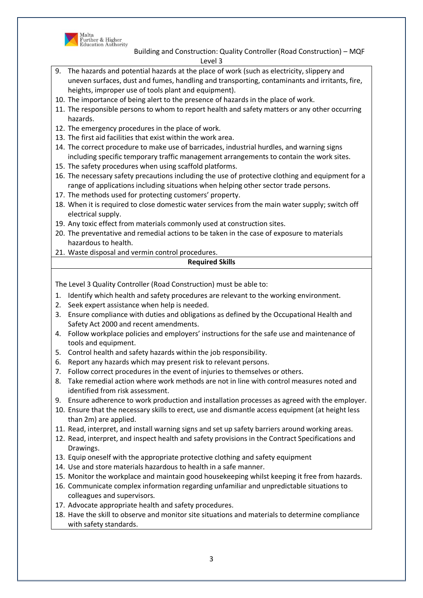

- 9. The hazards and potential hazards at the place of work (such as electricity, slippery and uneven surfaces, dust and fumes, handling and transporting, contaminants and irritants, fire, heights, improper use of tools plant and equipment).
- 10. The importance of being alert to the presence of hazards in the place of work.
- 11. The responsible persons to whom to report health and safety matters or any other occurring hazards.
- 12. The emergency procedures in the place of work.
- 13. The first aid facilities that exist within the work area.
- 14. The correct procedure to make use of barricades, industrial hurdles, and warning signs including specific temporary traffic management arrangements to contain the work sites.
- 15. The safety procedures when using scaffold platforms.
- 16. The necessary safety precautions including the use of protective clothing and equipment for a range of applications including situations when helping other sector trade persons.
- 17. The methods used for protecting customers' property.
- 18. When it is required to close domestic water services from the main water supply; switch off electrical supply.
- 19. Any toxic effect from materials commonly used at construction sites.
- 20. The preventative and remedial actions to be taken in the case of exposure to materials hazardous to health.
- 21. Waste disposal and vermin control procedures.

# **Required Skills**

The Level 3 Quality Controller (Road Construction) must be able to:

- 1. Identify which health and safety procedures are relevant to the working environment.
- 2. Seek expert assistance when help is needed.
- 3. Ensure compliance with duties and obligations as defined by the Occupational Health and Safety Act 2000 and recent amendments.
- 4. Follow workplace policies and employers' instructions for the safe use and maintenance of tools and equipment.
- 5. Control health and safety hazards within the job responsibility.
- 6. Report any hazards which may present risk to relevant persons.
- 7. Follow correct procedures in the event of injuries to themselves or others.
- 8. Take remedial action where work methods are not in line with control measures noted and identified from risk assessment.
- 9. Ensure adherence to work production and installation processes as agreed with the employer.
- 10. Ensure that the necessary skills to erect, use and dismantle access equipment (at height less than 2m) are applied.
- 11. Read, interpret, and install warning signs and set up safety barriers around working areas.
- 12. Read, interpret, and inspect health and safety provisions in the Contract Specifications and Drawings.
- 13. Equip oneself with the appropriate protective clothing and safety equipment
- 14. Use and store materials hazardous to health in a safe manner.
- 15. Monitor the workplace and maintain good housekeeping whilst keeping it free from hazards.
- 16. Communicate complex information regarding unfamiliar and unpredictable situations to colleagues and supervisors.
- 17. Advocate appropriate health and safety procedures.
- 18. Have the skill to observe and monitor site situations and materials to determine compliance with safety standards.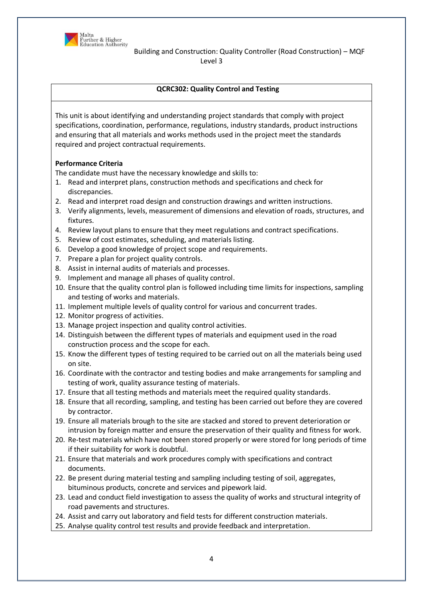

# **QCRC302: Quality Control and Testing**

This unit is about identifying and understanding project standards that comply with project specifications, coordination, performance, regulations, industry standards, product instructions and ensuring that all materials and works methods used in the project meet the standards required and project contractual requirements.

# **Performance Criteria**

The candidate must have the necessary knowledge and skills to:

- 1. Read and interpret plans, construction methods and specifications and check for discrepancies.
- 2. Read and interpret road design and construction drawings and written instructions.
- 3. Verify alignments, levels, measurement of dimensions and elevation of roads, structures, and fixtures.
- 4. Review layout plans to ensure that they meet regulations and contract specifications.
- 5. Review of cost estimates, scheduling, and materials listing.
- 6. Develop a good knowledge of project scope and requirements.
- 7. Prepare a plan for project quality controls.
- 8. Assist in internal audits of materials and processes.
- 9. Implement and manage all phases of quality control.
- 10. Ensure that the quality control plan is followed including time limits for inspections, sampling and testing of works and materials.
- 11. Implement multiple levels of quality control for various and concurrent trades.
- 12. Monitor progress of activities.
- 13. Manage project inspection and quality control activities.
- 14. Distinguish between the different types of materials and equipment used in the road construction process and the scope for each.
- 15. Know the different types of testing required to be carried out on all the materials being used on site.
- 16. Coordinate with the contractor and testing bodies and make arrangements for sampling and testing of work, quality assurance testing of materials.
- 17. Ensure that all testing methods and materials meet the required quality standards.
- 18. Ensure that all recording, sampling, and testing has been carried out before they are covered by contractor.
- 19. Ensure all materials brough to the site are stacked and stored to prevent deterioration or intrusion by foreign matter and ensure the preservation of their quality and fitness for work.
- 20. Re-test materials which have not been stored properly or were stored for long periods of time if their suitability for work is doubtful.
- 21. Ensure that materials and work procedures comply with specifications and contract documents.
- 22. Be present during material testing and sampling including testing of soil, aggregates, bituminous products, concrete and services and pipework laid.
- 23. Lead and conduct field investigation to assess the quality of works and structural integrity of road pavements and structures.
- 24. Assist and carry out laboratory and field tests for different construction materials.
- 25. Analyse quality control test results and provide feedback and interpretation.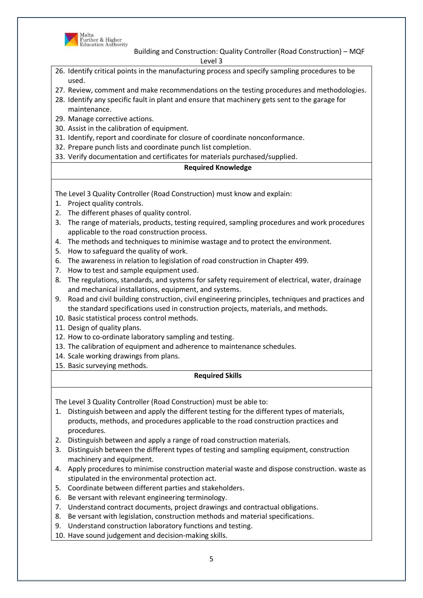

- 26. Identify critical points in the manufacturing process and specify sampling procedures to be used.
- 27. Review, comment and make recommendations on the testing procedures and methodologies.
- 28. Identify any specific fault in plant and ensure that machinery gets sent to the garage for maintenance.
- 29. Manage corrective actions.
- 30. Assist in the calibration of equipment.
- 31. Identify, report and coordinate for closure of coordinate nonconformance.
- 32. Prepare punch lists and coordinate punch list completion.
- 33. Verify documentation and certificates for materials purchased/supplied.

# **Required Knowledge**

The Level 3 Quality Controller (Road Construction) must know and explain:

- 1. Project quality controls.
- 2. The different phases of quality control.
- 3. The range of materials, products, testing required, sampling procedures and work procedures applicable to the road construction process.
- 4. The methods and techniques to minimise wastage and to protect the environment.
- 5. How to safeguard the quality of work.
- 6. The awareness in relation to legislation of road construction in Chapter 499.
- 7. How to test and sample equipment used.
- 8. The regulations, standards, and systems for safety requirement of electrical, water, drainage and mechanical installations, equipment, and systems.
- 9. Road and civil building construction, civil engineering principles, techniques and practices and the standard specifications used in construction projects, materials, and methods.
- 10. Basic statistical process control methods.
- 11. Design of quality plans.
- 12. How to co-ordinate laboratory sampling and testing.
- 13. The calibration of equipment and adherence to maintenance schedules.
- 14. Scale working drawings from plans.
- 15. Basic surveying methods.

# **Required Skills**

The Level 3 Quality Controller (Road Construction) must be able to:

- 1. Distinguish between and apply the different testing for the different types of materials, products, methods, and procedures applicable to the road construction practices and procedures.
- 2. Distinguish between and apply a range of road construction materials.
- 3. Distinguish between the different types of testing and sampling equipment, construction machinery and equipment.
- 4. Apply procedures to minimise construction material waste and dispose construction. waste as stipulated in the environmental protection act.
- 5. Coordinate between different parties and stakeholders.
- 6. Be versant with relevant engineering terminology.
- 7. Understand contract documents, project drawings and contractual obligations.
- 8. Be versant with legislation, construction methods and material specifications.
- 9. Understand construction laboratory functions and testing.

10. Have sound judgement and decision-making skills.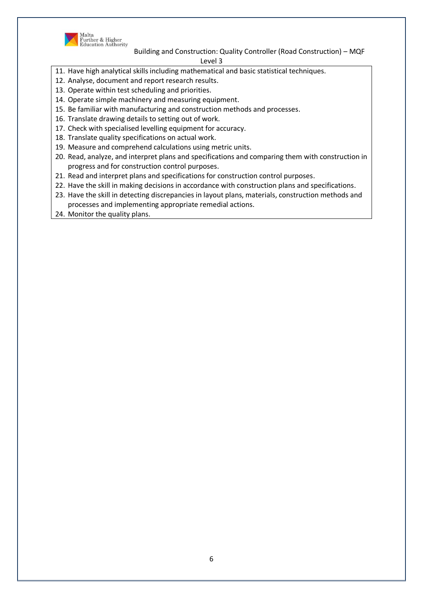

Malta<br>Further & Higher<br>Education Authority

Building and Construction: Quality Controller (Road Construction) – MQF

Level 3

- 11. Have high analytical skills including mathematical and basic statistical techniques.
- 12. Analyse, document and report research results.
- 13. Operate within test scheduling and priorities.
- 14. Operate simple machinery and measuring equipment.
- 15. Be familiar with manufacturing and construction methods and processes.
- 16. Translate drawing details to setting out of work.
- 17. Check with specialised levelling equipment for accuracy.
- 18. Translate quality specifications on actual work.
- 19. Measure and comprehend calculations using metric units.
- 20. Read, analyze, and interpret plans and specifications and comparing them with construction in progress and for construction control purposes.
- 21. Read and interpret plans and specifications for construction control purposes.
- 22. Have the skill in making decisions in accordance with construction plans and specifications.
- 23. Have the skill in detecting discrepancies in layout plans, materials, construction methods and processes and implementing appropriate remedial actions.
- 24. Monitor the quality plans.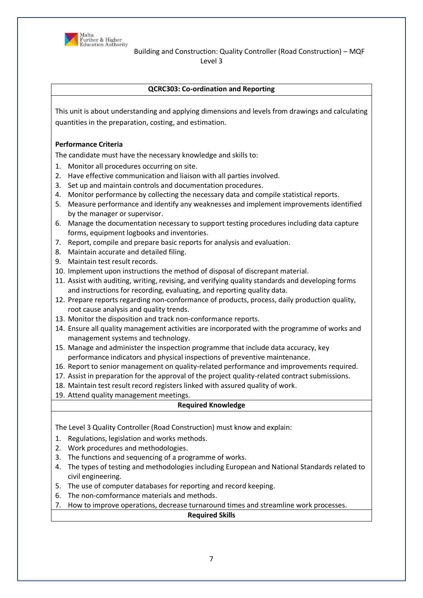

# **QCRC303: Co-ordination and Reporting**

This unit is about understanding and applying dimensions and levels from drawings and calculating quantities in the preparation, costing, and estimation.

#### **Performance Criteria**

The candidate must have the necessary knowledge and skills to:

- 1. Monitor all procedures occurring on site.
- 2. Have effective communication and liaison with all parties involved.
- 3. Set up and maintain controls and documentation procedures.
- 4. Monitor performance by collecting the necessary data and compile statistical reports.
- 5. Measure performance and identify any weaknesses and implement improvements identified by the manager or supervisor.
- 6. Manage the documentation necessary to support testing procedures including data capture forms, equipment logbooks and inventories.
- 7. Report, compile and prepare basic reports for analysis and evaluation.
- 8. Maintain accurate and detailed filing.
- 9. Maintain test result records.
- 10. Implement upon instructions the method of disposal of discrepant material.
- 11. Assist with auditing, writing, revising, and verifying quality standards and developing forms and instructions for recording, evaluating, and reporting quality data.
- 12. Prepare reports regarding non-conformance of products, process, daily production quality, root cause analysis and quality trends.
- 13. Monitor the disposition and track non-conformance reports.
- 14. Ensure all quality management activities are incorporated with the programme of works and management systems and technology.
- 15. Manage and administer the inspection programme that include data accuracy, key performance indicators and physical inspections of preventive maintenance.
- 16. Report to senior management on quality-related performance and improvements required.
- 17. Assist in preparation for the approval of the project quality-related contract submissions.
- 18. Maintain test result record registers linked with assured quality of work.
- 19. Attend quality management meetings.

# **Required Knowledge**

The Level 3 Quality Controller (Road Construction) must know and explain:

- 1. Regulations, legislation and works methods.
- 2. Work procedures and methodologies.
- 3. The functions and sequencing of a programme of works.
- 4. The types of testing and methodologies including European and National Standards related to civil engineering.
- 5. The use of computer databases for reporting and record keeping.
- 6. The non-comformance materials and methods.
- 7. How to improve operations, decrease turnaround times and streamline work processes.

#### **Required Skills**